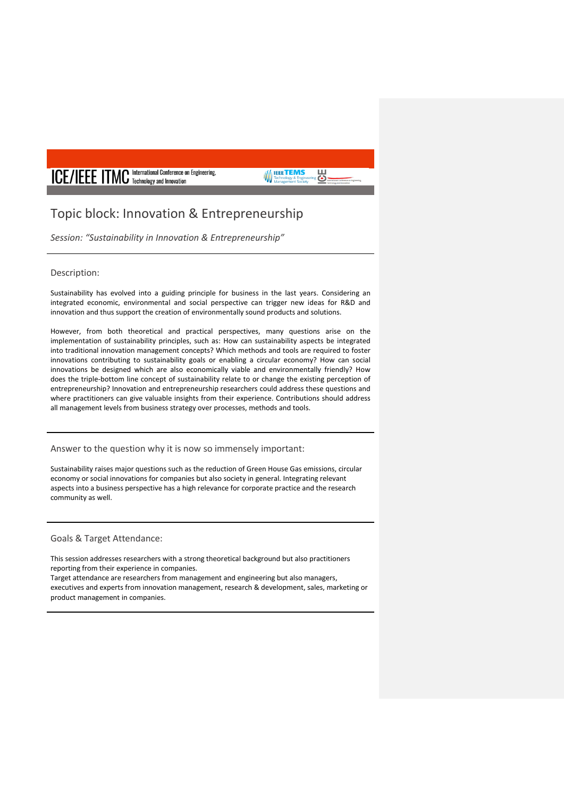# **ICE/IEEE ITMC** International Conference on Engineering,

## Topic block: Innovation & Entrepreneurship

*Session: "Sustainability in Innovation & Entrepreneurship"*

#### Description:

Sustainability has evolved into a guiding principle for business in the last years. Considering an integrated economic, environmental and social perspective can trigger new ideas for R&D and innovation and thus support the creation of environmentally sound products and solutions.

 $\overline{\mathbf{e}}$ 

**IEEETEMS** 

However, from both theoretical and practical perspectives, many questions arise on the implementation of sustainability principles, such as: How can sustainability aspects be integrated into traditional innovation management concepts? Which methods and tools are required to foster innovations contributing to sustainability goals or enabling a circular economy? How can social innovations be designed which are also economically viable and environmentally friendly? How does the triple-bottom line concept of sustainability relate to or change the existing perception of entrepreneurship? Innovation and entrepreneurship researchers could address these questions and where practitioners can give valuable insights from their experience. Contributions should address all management levels from business strategy over processes, methods and tools.

Answer to the question why it is now so immensely important:

Sustainability raises major questions such as the reduction of Green House Gas emissions, circular economy or social innovations for companies but also society in general. Integrating relevant aspects into a business perspective has a high relevance for corporate practice and the research community as well.

Goals & Target Attendance:

This session addresses researchers with a strong theoretical background but also practitioners reporting from their experience in companies.

Target attendance are researchers from management and engineering but also managers, executives and experts from innovation management, research & development, sales, marketing or product management in companies.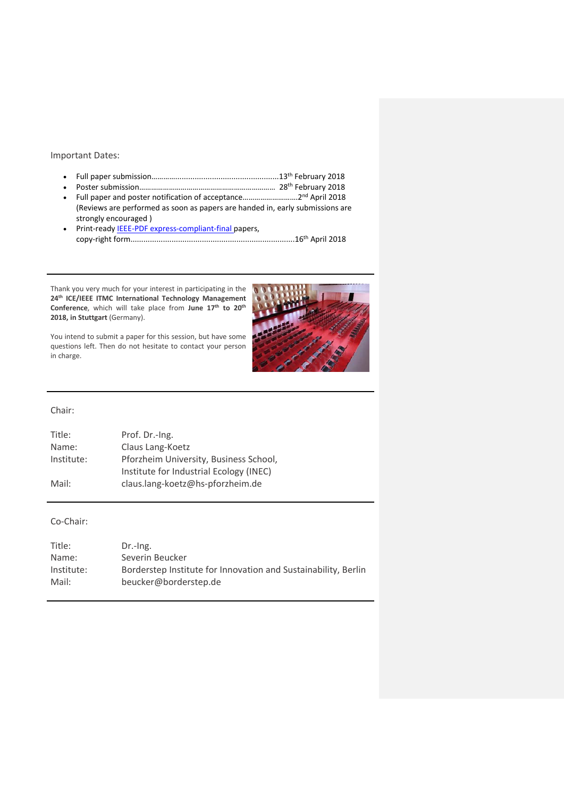#### Important Dates:

- Full paper submission…………................................................13th February 2018
- Poster submission…………………………………………………………… 28th February 2018
- Full paper and poster notification of acceptance……………………….2nd April 2018 (Reviews are performed as soon as papers are handed in, early submissions are strongly encouraged )
- Print-ready [IEEE-PDF express-compliant-final p](http://www.pdf-express.org/)apers, copy-right form............................................................................16th April 2018

Thank you very much for your interest in participating in the **24th ICE/IEEE ITMC International Technology Management Conference**, which will take place from **June 17th to 20th 2018, in Stuttgart** (Germany).



### Chair:

in charge.

| Title:     | Prof. Dr.-Ing.                          |
|------------|-----------------------------------------|
| Name:      | Claus Lang-Koetz                        |
| Institute: | Pforzheim University, Business School,  |
|            | Institute for Industrial Ecology (INEC) |
| Mail:      | claus.lang-koetz@hs-pforzheim.de        |

#### Co-Chair:

| Title:     | $Dr.-Ing.$                                                     |
|------------|----------------------------------------------------------------|
| Name:      | Severin Beucker                                                |
| Institute: | Borderstep Institute for Innovation and Sustainability, Berlin |
| Mail:      | beucker@borderstep.de                                          |